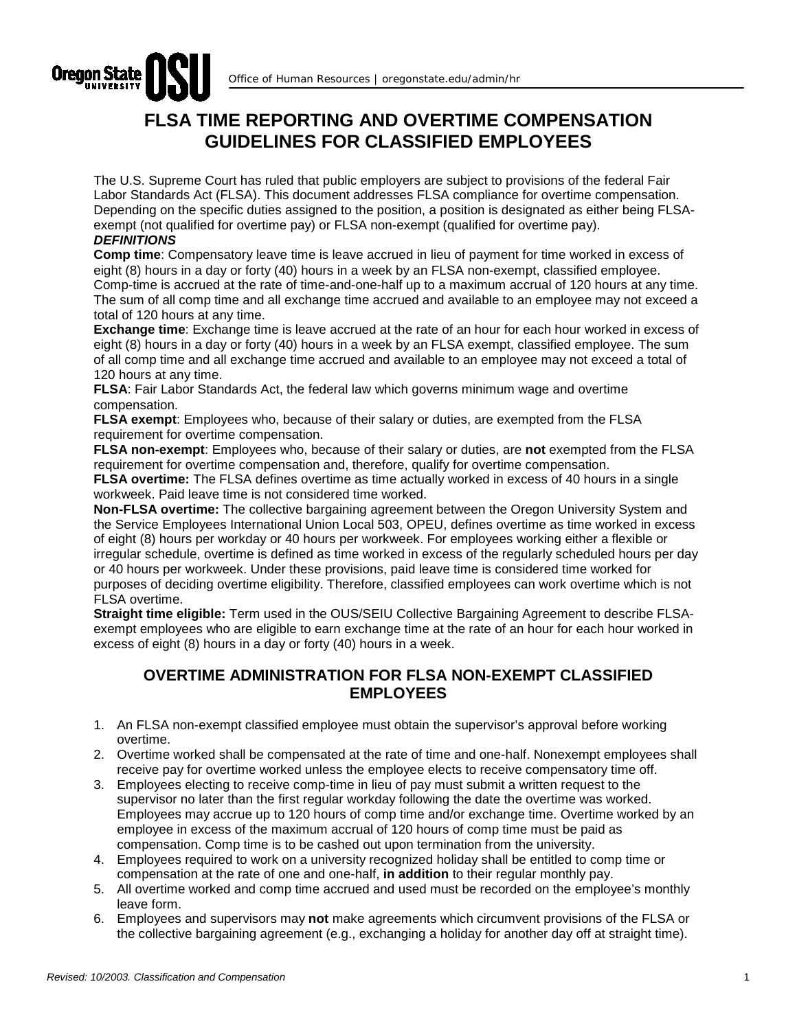

## **FLSA TIME REPORTING AND OVERTIME COMPENSATION GUIDELINES FOR CLASSIFIED EMPLOYEES**

The U.S. Supreme Court has ruled that public employers are subject to provisions of the federal Fair Labor Standards Act (FLSA). This document addresses FLSA compliance for overtime compensation. Depending on the specific duties assigned to the position, a position is designated as either being FLSAexempt (not qualified for overtime pay) or FLSA non-exempt (qualified for overtime pay). *DEFINITIONS*

**Comp time**: Compensatory leave time is leave accrued in lieu of payment for time worked in excess of eight (8) hours in a day or forty (40) hours in a week by an FLSA non-exempt, classified employee. Comp-time is accrued at the rate of time-and-one-half up to a maximum accrual of 120 hours at any time. The sum of all comp time and all exchange time accrued and available to an employee may not exceed a total of 120 hours at any time.

**Exchange time**: Exchange time is leave accrued at the rate of an hour for each hour worked in excess of eight (8) hours in a day or forty (40) hours in a week by an FLSA exempt, classified employee. The sum of all comp time and all exchange time accrued and available to an employee may not exceed a total of 120 hours at any time.

**FLSA**: Fair Labor Standards Act, the federal law which governs minimum wage and overtime compensation.

**FLSA exempt**: Employees who, because of their salary or duties, are exempted from the FLSA requirement for overtime compensation.

**FLSA non-exempt**: Employees who, because of their salary or duties, are **not** exempted from the FLSA requirement for overtime compensation and, therefore, qualify for overtime compensation.

**FLSA overtime:** The FLSA defines overtime as time actually worked in excess of 40 hours in a single workweek. Paid leave time is not considered time worked.

**Non-FLSA overtime:** The collective bargaining agreement between the Oregon University System and the Service Employees International Union Local 503, OPEU, defines overtime as time worked in excess of eight (8) hours per workday or 40 hours per workweek. For employees working either a flexible or irregular schedule, overtime is defined as time worked in excess of the regularly scheduled hours per day or 40 hours per workweek. Under these provisions, paid leave time is considered time worked for purposes of deciding overtime eligibility. Therefore, classified employees can work overtime which is not FLSA overtime.

**Straight time eligible:** Term used in the OUS/SEIU Collective Bargaining Agreement to describe FLSAexempt employees who are eligible to earn exchange time at the rate of an hour for each hour worked in excess of eight (8) hours in a day or forty (40) hours in a week.

## **OVERTIME ADMINISTRATION FOR FLSA NON-EXEMPT CLASSIFIED EMPLOYEES**

- 1. An FLSA non-exempt classified employee must obtain the supervisor's approval before working overtime.
- 2. Overtime worked shall be compensated at the rate of time and one-half. Nonexempt employees shall receive pay for overtime worked unless the employee elects to receive compensatory time off.
- 3. Employees electing to receive comp-time in lieu of pay must submit a written request to the supervisor no later than the first regular workday following the date the overtime was worked. Employees may accrue up to 120 hours of comp time and/or exchange time. Overtime worked by an employee in excess of the maximum accrual of 120 hours of comp time must be paid as compensation. Comp time is to be cashed out upon termination from the university.
- 4. Employees required to work on a university recognized holiday shall be entitled to comp time or compensation at the rate of one and one-half, **in addition** to their regular monthly pay.
- 5. All overtime worked and comp time accrued and used must be recorded on the employee's monthly leave form.
- 6. Employees and supervisors may **not** make agreements which circumvent provisions of the FLSA or the collective bargaining agreement (e.g., exchanging a holiday for another day off at straight time).